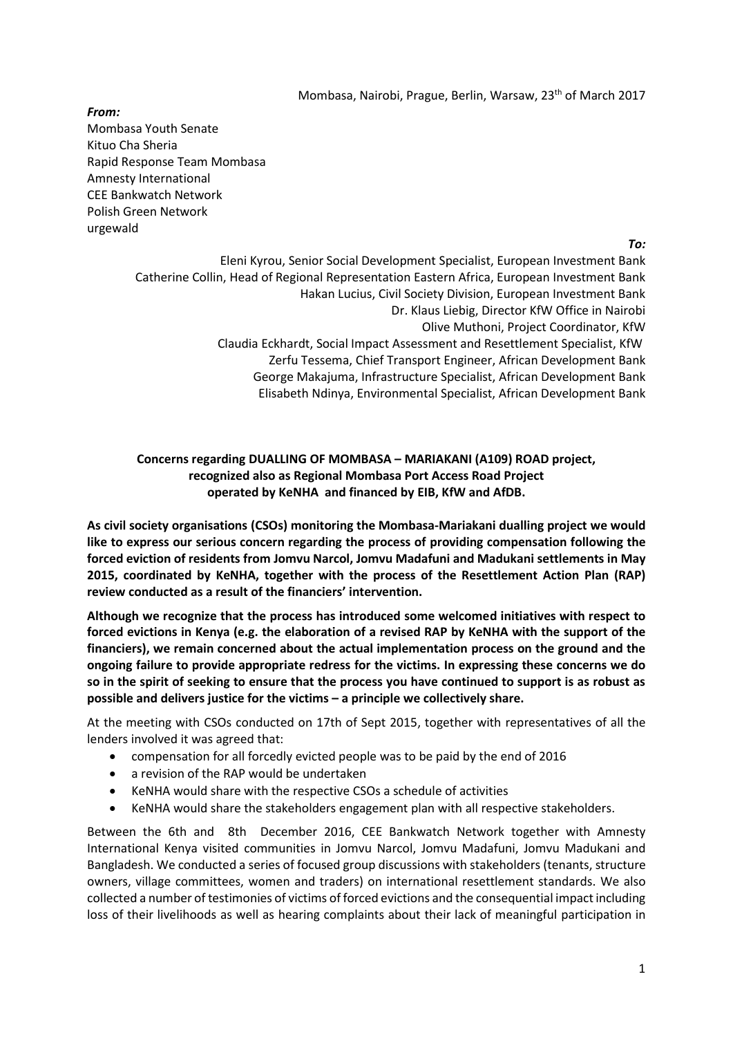Mombasa, Nairobi, Prague, Berlin, Warsaw, 23<sup>th</sup> of March 2017

*From:* Mombasa Youth Senate Kituo Cha Sheria Rapid Response Team Mombasa Amnesty International CEE Bankwatch Network Polish Green Network urgewald

*To:*

Eleni Kyrou, Senior Social Development Specialist, European Investment Bank Catherine Collin, Head of Regional Representation Eastern Africa, European Investment Bank Hakan Lucius, Civil Society Division, European Investment Bank Dr. Klaus Liebig, Director KfW Office in Nairobi Olive Muthoni, Project Coordinator, KfW Claudia Eckhardt, Social Impact Assessment and Resettlement Specialist, KfW Zerfu Tessema, Chief Transport Engineer, African Development Bank George Makajuma, Infrastructure Specialist, African Development Bank Elisabeth Ndinya, Environmental Specialist, African Development Bank

# **Concerns regarding DUALLING OF MOMBASA – MARIAKANI (A109) ROAD project, recognized also as Regional Mombasa Port Access Road Project operated by KeNHA and financed by EIB, KfW and AfDB.**

**As civil society organisations (CSOs) monitoring the Mombasa-Mariakani dualling project we would like to express our serious concern regarding the process of providing compensation following the forced eviction of residents from Jomvu Narcol, Jomvu Madafuni and Madukani settlements in May 2015, coordinated by KeNHA, together with the process of the Resettlement Action Plan (RAP) review conducted as a result of the financiers' intervention.** 

**Although we recognize that the process has introduced some welcomed initiatives with respect to forced evictions in Kenya (e.g. the elaboration of a revised RAP by KeNHA with the support of the financiers), we remain concerned about the actual implementation process on the ground and the ongoing failure to provide appropriate redress for the victims. In expressing these concerns we do so in the spirit of seeking to ensure that the process you have continued to support is as robust as possible and delivers justice for the victims – a principle we collectively share.**

At the meeting with CSOs conducted on 17th of Sept 2015, together with representatives of all the lenders involved it was agreed that:

- compensation for all forcedly evicted people was to be paid by the end of 2016
- a revision of the RAP would be undertaken
- KeNHA would share with the respective CSOs a schedule of activities
- KeNHA would share the stakeholders engagement plan with all respective stakeholders.

Between the 6th and 8th December 2016, CEE Bankwatch Network together with Amnesty International Kenya visited communities in Jomvu Narcol, Jomvu Madafuni, Jomvu Madukani and Bangladesh. We conducted a series of focused group discussions with stakeholders (tenants, structure owners, village committees, women and traders) on international resettlement standards. We also collected a number of testimonies of victims of forced evictions and the consequential impact including loss of their livelihoods as well as hearing complaints about their lack of meaningful participation in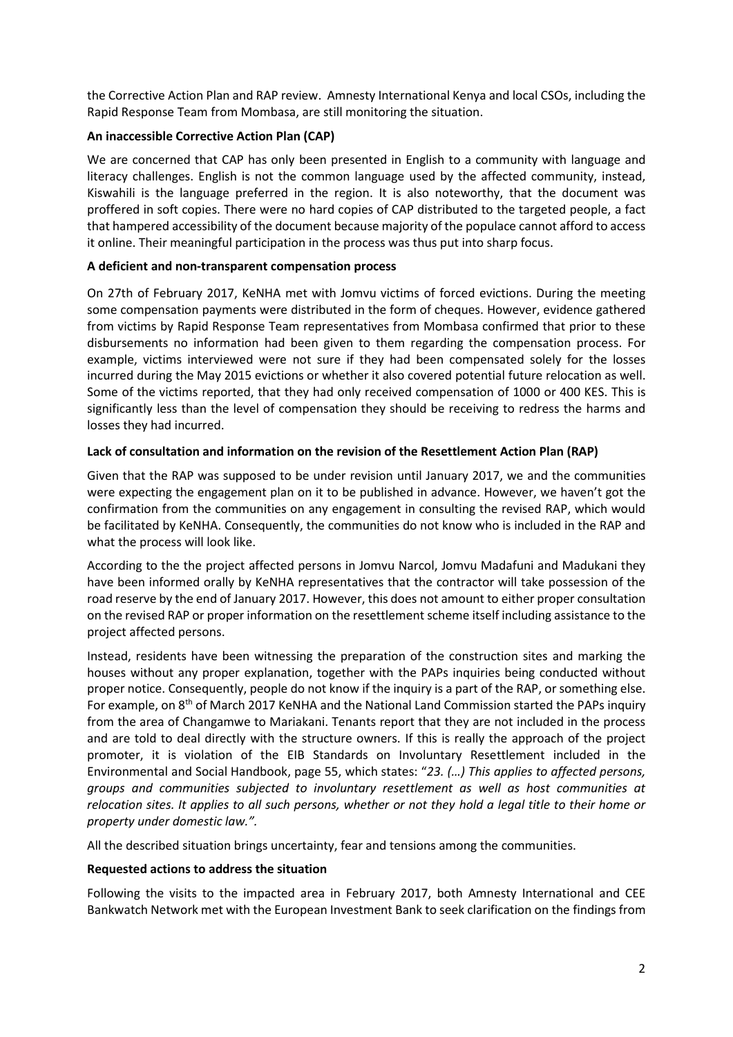the Corrective Action Plan and RAP review. Amnesty International Kenya and local CSOs, including the Rapid Response Team from Mombasa, are still monitoring the situation.

## **An inaccessible Corrective Action Plan (CAP)**

We are concerned that CAP has only been presented in English to a community with language and literacy challenges. English is not the common language used by the affected community, instead, Kiswahili is the language preferred in the region. It is also noteworthy, that the document was proffered in soft copies. There were no hard copies of CAP distributed to the targeted people, a fact that hampered accessibility of the document because majority of the populace cannot afford to access it online. Their meaningful participation in the process was thus put into sharp focus.

### **A deficient and non-transparent compensation process**

On 27th of February 2017, KeNHA met with Jomvu victims of forced evictions. During the meeting some compensation payments were distributed in the form of cheques. However, evidence gathered from victims by Rapid Response Team representatives from Mombasa confirmed that prior to these disbursements no information had been given to them regarding the compensation process. For example, victims interviewed were not sure if they had been compensated solely for the losses incurred during the May 2015 evictions or whether it also covered potential future relocation as well. Some of the victims reported, that they had only received compensation of 1000 or 400 KES. This is significantly less than the level of compensation they should be receiving to redress the harms and losses they had incurred.

### **Lack of consultation and information on the revision of the Resettlement Action Plan (RAP)**

Given that the RAP was supposed to be under revision until January 2017, we and the communities were expecting the engagement plan on it to be published in advance. However, we haven't got the confirmation from the communities on any engagement in consulting the revised RAP, which would be facilitated by KeNHA. Consequently, the communities do not know who is included in the RAP and what the process will look like.

According to the the project affected persons in Jomvu Narcol, Jomvu Madafuni and Madukani they have been informed orally by KeNHA representatives that the contractor will take possession of the road reserve by the end of January 2017. However, this does not amount to either proper consultation on the revised RAP or proper information on the resettlement scheme itself including assistance to the project affected persons.

Instead, residents have been witnessing the preparation of the construction sites and marking the houses without any proper explanation, together with the PAPs inquiries being conducted without proper notice. Consequently, people do not know if the inquiry is a part of the RAP, or something else. For example, on 8<sup>th</sup> of March 2017 KeNHA and the National Land Commission started the PAPs inquiry from the area of Changamwe to Mariakani. Tenants report that they are not included in the process and are told to deal directly with the structure owners. If this is really the approach of the project promoter, it is violation of the EIB Standards on Involuntary Resettlement included in the Environmental and Social Handbook, page 55, which states: "*23. (…) This applies to affected persons, groups and communities subjected to involuntary resettlement as well as host communities at relocation sites. It applies to all such persons, whether or not they hold a legal title to their home or property under domestic law.".*

All the described situation brings uncertainty, fear and tensions among the communities.

#### **Requested actions to address the situation**

Following the visits to the impacted area in February 2017, both Amnesty International and CEE Bankwatch Network met with the European Investment Bank to seek clarification on the findings from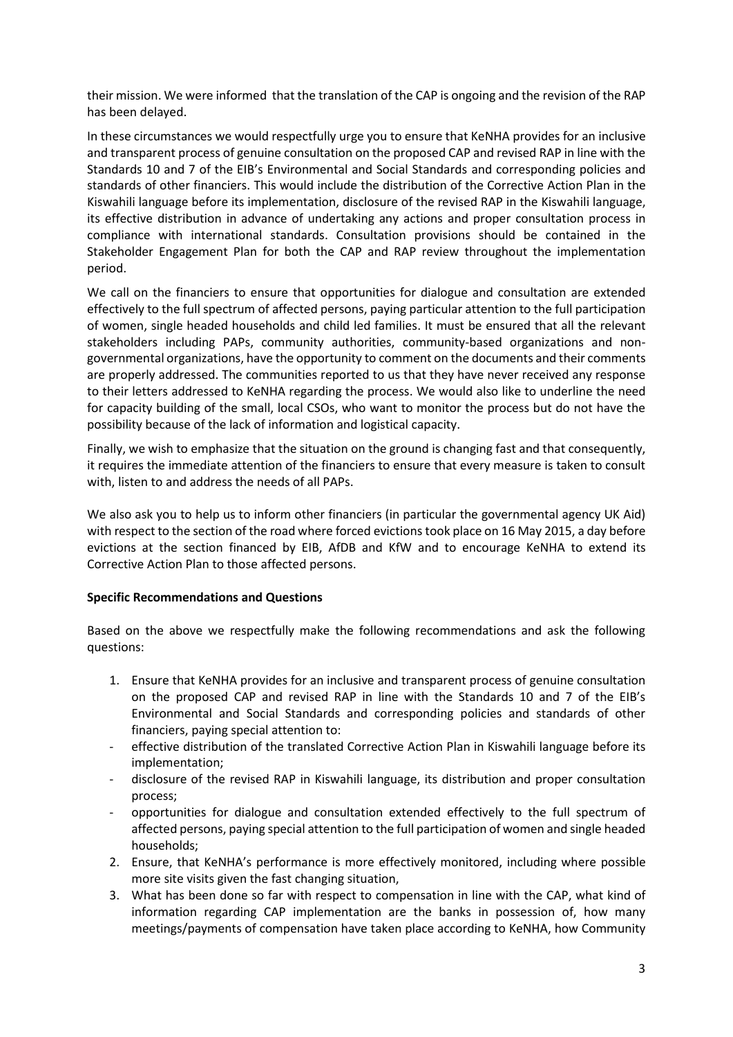their mission. We were informed that the translation of the CAP is ongoing and the revision of the RAP has been delayed.

In these circumstances we would respectfully urge you to ensure that KeNHA provides for an inclusive and transparent process of genuine consultation on the proposed CAP and revised RAP in line with the Standards 10 and 7 of the EIB's Environmental and Social Standards and corresponding policies and standards of other financiers. This would include the distribution of the Corrective Action Plan in the Kiswahili language before its implementation, disclosure of the revised RAP in the Kiswahili language, its effective distribution in advance of undertaking any actions and proper consultation process in compliance with international standards. Consultation provisions should be contained in the Stakeholder Engagement Plan for both the CAP and RAP review throughout the implementation period.

We call on the financiers to ensure that opportunities for dialogue and consultation are extended effectively to the full spectrum of affected persons, paying particular attention to the full participation of women, single headed households and child led families. It must be ensured that all the relevant stakeholders including PAPs, community authorities, community-based organizations and nongovernmental organizations, have the opportunity to comment on the documents and their comments are properly addressed. The communities reported to us that they have never received any response to their letters addressed to KeNHA regarding the process. We would also like to underline the need for capacity building of the small, local CSOs, who want to monitor the process but do not have the possibility because of the lack of information and logistical capacity.

Finally, we wish to emphasize that the situation on the ground is changing fast and that consequently, it requires the immediate attention of the financiers to ensure that every measure is taken to consult with, listen to and address the needs of all PAPs.

We also ask you to help us to inform other financiers (in particular the governmental agency UK Aid) with respect to the section of the road where forced evictions took place on 16 May 2015, a day before evictions at the section financed by EIB, AfDB and KfW and to encourage KeNHA to extend its Corrective Action Plan to those affected persons.

# **Specific Recommendations and Questions**

Based on the above we respectfully make the following recommendations and ask the following questions:

- 1. Ensure that KeNHA provides for an inclusive and transparent process of genuine consultation on the proposed CAP and revised RAP in line with the Standards 10 and 7 of the EIB's Environmental and Social Standards and corresponding policies and standards of other financiers, paying special attention to:
- effective distribution of the translated Corrective Action Plan in Kiswahili language before its implementation;
- disclosure of the revised RAP in Kiswahili language, its distribution and proper consultation process;
- opportunities for dialogue and consultation extended effectively to the full spectrum of affected persons, paying special attention to the full participation of women and single headed households;
- 2. Ensure, that KeNHA's performance is more effectively monitored, including where possible more site visits given the fast changing situation,
- 3. What has been done so far with respect to compensation in line with the CAP, what kind of information regarding CAP implementation are the banks in possession of, how many meetings/payments of compensation have taken place according to KeNHA, how Community